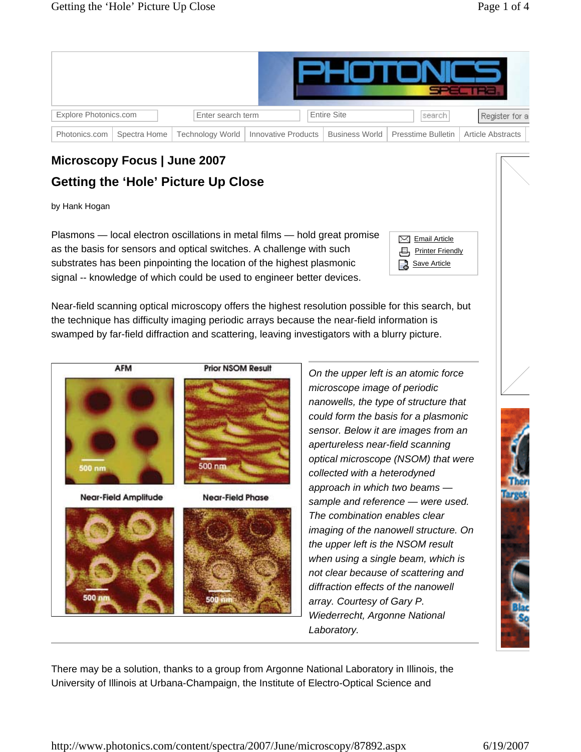| Explore Photonics.com |              | Enter search term |                                        | <b>Entire Site</b> | Isearch.                            | Register for a           |  |
|-----------------------|--------------|-------------------|----------------------------------------|--------------------|-------------------------------------|--------------------------|--|
| Photonics.com         | Spectra Home |                   | Technology World   Innovative Products |                    | Business World   Presstime Bulletin | <b>Article Abstracts</b> |  |

## **Microscopy Focus | June 2007 Getting the 'Hole' Picture Up Close**

by Hank Hogan

Plasmons — local electron oscillations in metal films — hold great promise as the basis for sensors and optical switches. A challenge with such substrates has been pinpointing the location of the highest plasmonic signal -- knowledge of which could be used to engineer better devices.

| $\nabla$ Email Article    |
|---------------------------|
| <b>日 Printer Friendly</b> |
| <b>R</b> Save Article     |

Near-field scanning optical microscopy offers the highest resolution possible for this search, but the technique has difficulty imaging periodic arrays because the near-field information is swamped by far-field diffraction and scattering, leaving investigators with a blurry picture.



*On the upper left is an atomic force microscope image of periodic nanowells, the type of structure that could form the basis for a plasmonic sensor. Below it are images from an apertureless near-field scanning optical microscope (NSOM) that were collected with a heterodyned approach in which two beams sample and reference* — *were used. The combination enables clear imaging of the nanowell structure. On the upper left is the NSOM result when using a single beam, which is not clear because of scattering and diffraction effects of the nanowell array. Courtesy of Gary P. Wiederrecht, Argonne National Laboratory.*

There may be a solution, thanks to a group from Argonne National Laboratory in Illinois, the University of Illinois at Urbana-Champaign, the Institute of Electro-Optical Science and

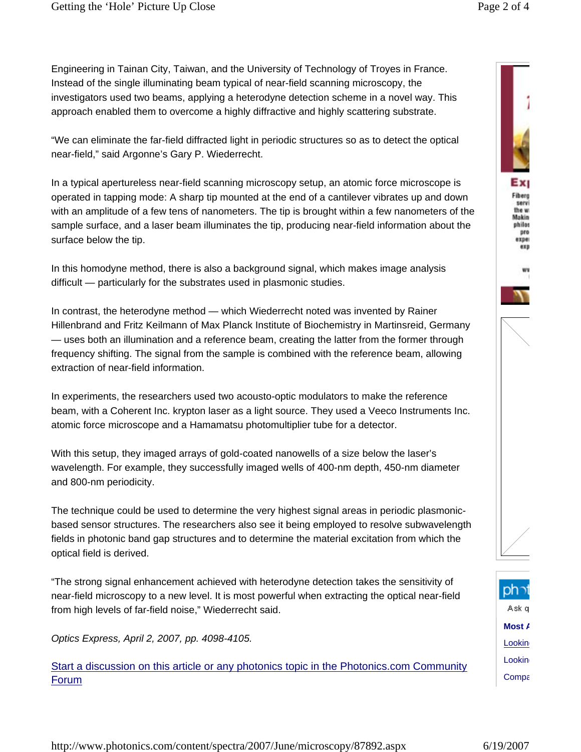Engineering in Tainan City, Taiwan, and the University of Technology of Troyes in France. Instead of the single illuminating beam typical of near-field scanning microscopy, the investigators used two beams, applying a heterodyne detection scheme in a novel way. This approach enabled them to overcome a highly diffractive and highly scattering substrate.

"We can eliminate the far-field diffracted light in periodic structures so as to detect the optical near-field," said Argonne's Gary P. Wiederrecht.

In a typical apertureless near-field scanning microscopy setup, an atomic force microscope is operated in tapping mode: A sharp tip mounted at the end of a cantilever vibrates up and down with an amplitude of a few tens of nanometers. The tip is brought within a few nanometers of the sample surface, and a laser beam illuminates the tip, producing near-field information about the surface below the tip.

In this homodyne method, there is also a background signal, which makes image analysis difficult — particularly for the substrates used in plasmonic studies.

In contrast, the heterodyne method — which Wiederrecht noted was invented by Rainer Hillenbrand and Fritz Keilmann of Max Planck Institute of Biochemistry in Martinsreid, Germany — uses both an illumination and a reference beam, creating the latter from the former through frequency shifting. The signal from the sample is combined with the reference beam, allowing extraction of near-field information.

In experiments, the researchers used two acousto-optic modulators to make the reference beam, with a Coherent Inc. krypton laser as a light source. They used a Veeco Instruments Inc. atomic force microscope and a Hamamatsu photomultiplier tube for a detector.

With this setup, they imaged arrays of gold-coated nanowells of a size below the laser's wavelength. For example, they successfully imaged wells of 400-nm depth, 450-nm diameter and 800-nm periodicity.

The technique could be used to determine the very highest signal areas in periodic plasmonicbased sensor structures. The researchers also see it being employed to resolve subwavelength fields in photonic band gap structures and to determine the material excitation from which the optical field is derived.

"The strong signal enhancement achieved with heterodyne detection takes the sensitivity of near-field microscopy to a new level. It is most powerful when extracting the optical near-field from high levels of far-field noise," Wiederrecht said.

*Optics Express, April 2, 2007, pp. 4098-4105.*

Start a discussion on this article or any photonics topic in the Photonics.com Community Forum





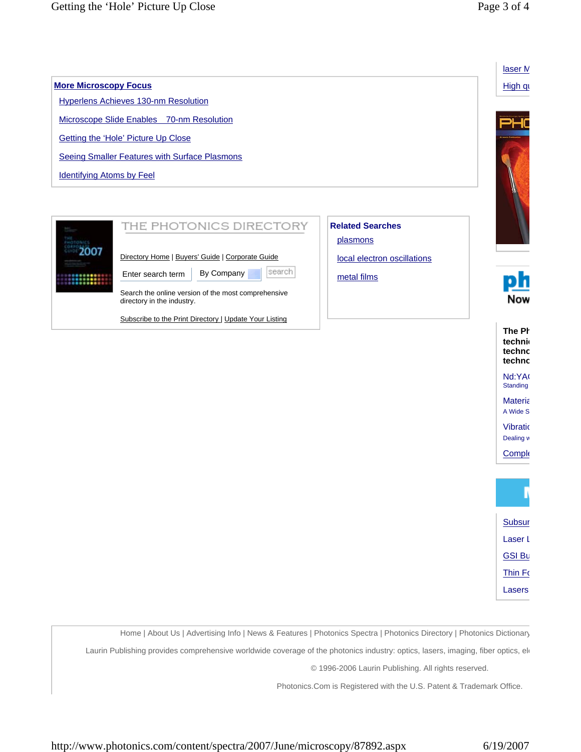**More Microscopy Focus**

Identifying Atoms by Feel

2007



Search the online version of the most comprehensive directory in the industry.

Subscribe to the Print Directory | Update Your Listing



Now

**Comple** 



Home | About Us | Advertising Info | News & Features | Photonics Spectra | Photonics Directory | Photonics Dictionary

Laurin Publishing provides comprehensive worldwide coverage of the photonics industry: optics, lasers, imaging, fiber optics, ele

© 1996-2006 Laurin Publishing. All rights reserved.

Photonics.Com is Registered with the U.S. Patent & Trademark Office.